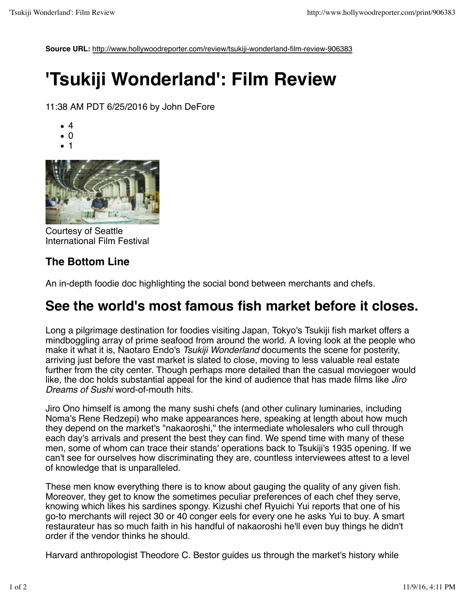**Source URL:** http://www.hollywoodreporter.com/review/tsukiji-wonderland-film-review-906383

## **'Tsukiji Wonderland': Film Review**

11:38 AM PDT 6/25/2016 by John DeFore

- 4
- 0
- 1



Courtesy of Seattle International Film Festival

## **The Bottom Line**

An in-depth foodie doc highlighting the social bond between merchants and chefs.

## **See the world's most famous fish market before it closes.**

Long a pilgrimage destination for foodies visiting Japan, Tokyo's Tsukiji fish market offers a mindboggling array of prime seafood from around the world. A loving look at the people who make it what it is, Naotaro Endo's *Tsukiji Wonderland* documents the scene for posterity, arriving just before the vast market is slated to close, moving to less valuable real estate further from the city center. Though perhaps more detailed than the casual moviegoer would like, the doc holds substantial appeal for the kind of audience that has made films like *Jiro Dreams of Sushi* word-of-mouth hits.

Jiro Ono himself is among the many sushi chefs (and other culinary luminaries, including Noma's Rene Redzepi) who make appearances here, speaking at length about how much they depend on the market's "nakaoroshi," the intermediate wholesalers who cull through each day's arrivals and present the best they can find. We spend time with many of these men, some of whom can trace their stands' operations back to Tsukiji's 1935 opening. If we can't see for ourselves how discriminating they are, countless interviewees attest to a level of knowledge that is unparalleled.

These men know everything there is to know about gauging the quality of any given fish. Moreover, they get to know the sometimes peculiar preferences of each chef they serve, knowing which likes his sardines spongy. Kizushi chef Ryuichi Yui reports that one of his go-to merchants will reject 30 or 40 conger eels for every one he asks Yui to buy. A smart restaurateur has so much faith in his handful of nakaoroshi he'll even buy things he didn't order if the vendor thinks he should.

Harvard anthropologist Theodore C. Bestor guides us through the market's history while